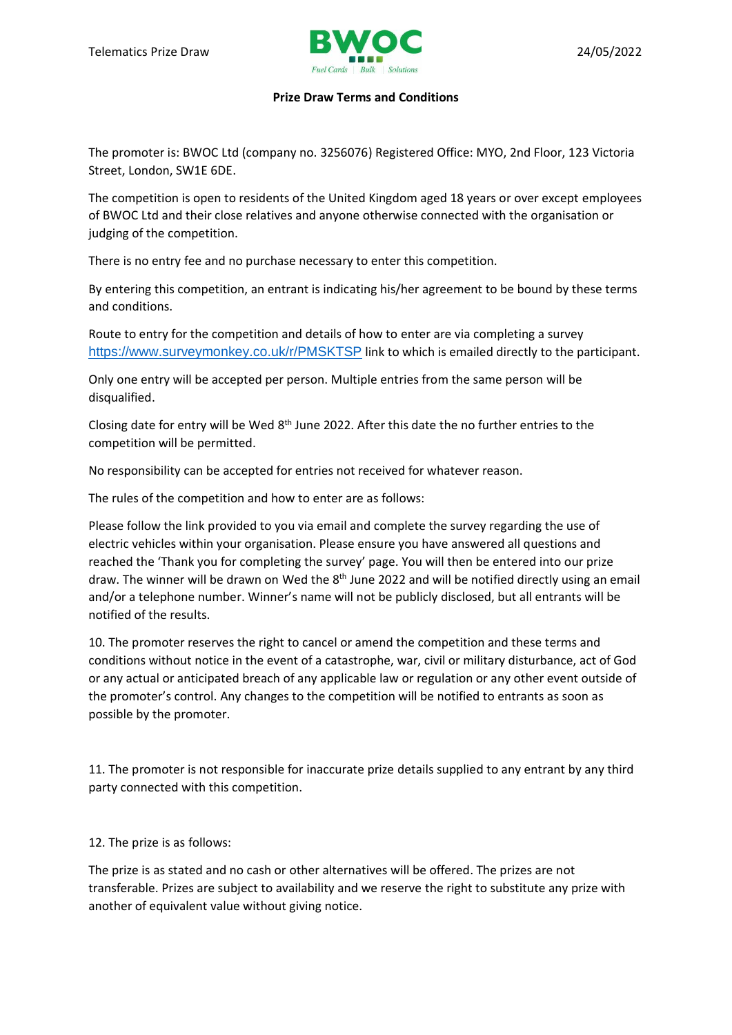

## **Prize Draw Terms and Conditions**

The promoter is: BWOC Ltd (company no. 3256076) Registered Office: MYO, 2nd Floor, 123 Victoria Street, London, SW1E 6DE.

The competition is open to residents of the United Kingdom aged 18 years or over except employees of BWOC Ltd and their close relatives and anyone otherwise connected with the organisation or judging of the competition.

There is no entry fee and no purchase necessary to enter this competition.

By entering this competition, an entrant is indicating his/her agreement to be bound by these terms and conditions.

Route to entry for the competition and details of how to enter are via completing a survey <https://www.surveymonkey.co.uk/r/PMSKTSP> link to which is emailed directly to the participant.

Only one entry will be accepted per person. Multiple entries from the same person will be disqualified.

Closing date for entry will be Wed 8th June 2022. After this date the no further entries to the competition will be permitted.

No responsibility can be accepted for entries not received for whatever reason.

The rules of the competition and how to enter are as follows:

Please follow the link provided to you via email and complete the survey regarding the use of electric vehicles within your organisation. Please ensure you have answered all questions and reached the 'Thank you for completing the survey' page. You will then be entered into our prize draw. The winner will be drawn on Wed the 8<sup>th</sup> June 2022 and will be notified directly using an email and/or a telephone number. Winner's name will not be publicly disclosed, but all entrants will be notified of the results.

10. The promoter reserves the right to cancel or amend the competition and these terms and conditions without notice in the event of a catastrophe, war, civil or military disturbance, act of God or any actual or anticipated breach of any applicable law or regulation or any other event outside of the promoter's control. Any changes to the competition will be notified to entrants as soon as possible by the promoter.

11. The promoter is not responsible for inaccurate prize details supplied to any entrant by any third party connected with this competition.

12. The prize is as follows:

The prize is as stated and no cash or other alternatives will be offered. The prizes are not transferable. Prizes are subject to availability and we reserve the right to substitute any prize with another of equivalent value without giving notice.